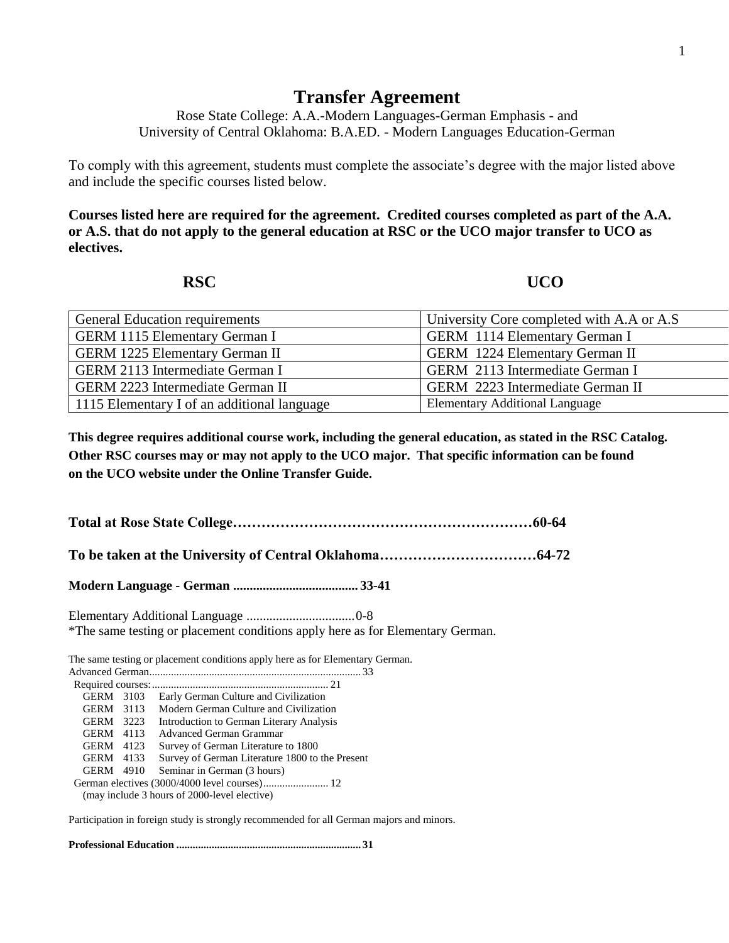## **Transfer Agreement**

Rose State College: A.A.-Modern Languages-German Emphasis - and University of Central Oklahoma: B.A.ED. - Modern Languages Education-German

To comply with this agreement, students must complete the associate's degree with the major listed above and include the specific courses listed below.

**Courses listed here are required for the agreement. Credited courses completed as part of the A.A. or A.S. that do not apply to the general education at RSC or the UCO major transfer to UCO as electives.**

**RSC UCO** 

| <b>General Education requirements</b>       | University Core completed with A.A or A.S |
|---------------------------------------------|-------------------------------------------|
| <b>GERM 1115 Elementary German I</b>        | <b>GERM</b> 1114 Elementary German I      |
| <b>GERM 1225 Elementary German II</b>       | <b>GERM</b> 1224 Elementary German II     |
| <b>GERM 2113 Intermediate German I</b>      | GERM 2113 Intermediate German I           |
| <b>GERM 2223 Intermediate German II</b>     | GERM 2223 Intermediate German II          |
| 1115 Elementary I of an additional language | <b>Elementary Additional Language</b>     |

**This degree requires additional course work, including the general education, as stated in the RSC Catalog. Other RSC courses may or may not apply to the UCO major. That specific information can be found on the UCO website under the Online Transfer Guide.**

**Total at Rose State College………………………………………………………60-64**

**To be taken at the University of Central Oklahoma……………………………64-72**

**Modern Language - German ...................................... 33-41**

Elementary Additional Language .................................0-8 \*The same testing or placement conditions apply here as for Elementary German.

The same testing or placement conditions apply here as for Elementary German.

| GERM 3103 |  | Early German Culture and Civilization           |
|-----------|--|-------------------------------------------------|
| GERM 3113 |  | Modern German Culture and Civilization          |
| GERM 3223 |  | Introduction to German Literary Analysis        |
| GERM 4113 |  | <b>Advanced German Grammar</b>                  |
| GERM 4123 |  | Survey of German Literature to 1800             |
| GERM 4133 |  | Survey of German Literature 1800 to the Present |
| GERM 4910 |  | Seminar in German (3 hours)                     |
|           |  |                                                 |
|           |  |                                                 |

(may include 3 hours of 2000-level elective)

Participation in foreign study is strongly recommended for all German majors and minors.

**Professional Education .................................................................... 31**